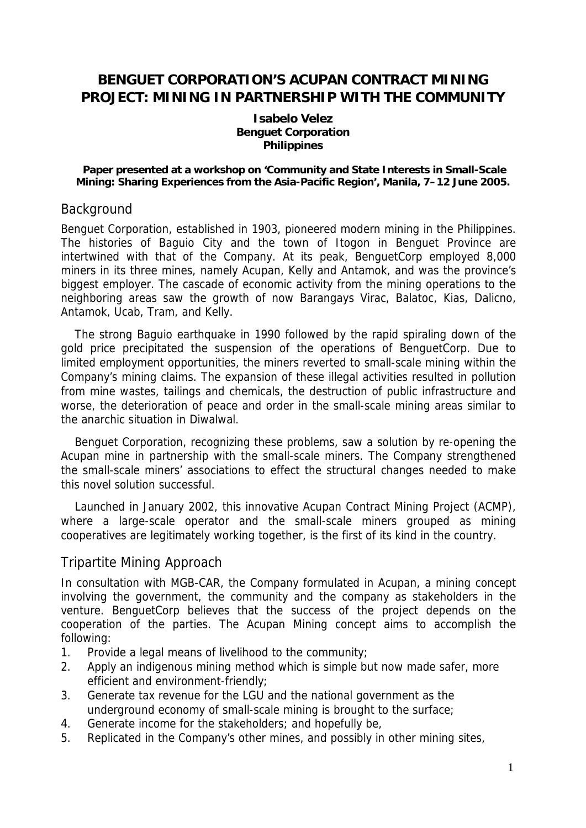# **BENGUET CORPORATION'S ACUPAN CONTRACT MINING PROJECT: MINING IN PARTNERSHIP WITH THE COMMUNITY**

#### **Isabelo Velez Benguet Corporation Philippines**

 **Paper presented at a workshop on 'Community and State Interests in Small-Scale Mining: Sharing Experiences from the Asia-Pacific Region', Manila, 7–12 June 2005.** 

#### **Background**

Benguet Corporation, established in 1903, pioneered modern mining in the Philippines. The histories of Baguio City and the town of Itogon in Benguet Province are intertwined with that of the Company. At its peak, BenguetCorp employed 8,000 miners in its three mines, namely Acupan, Kelly and Antamok, and was the province's biggest employer. The cascade of economic activity from the mining operations to the neighboring areas saw the growth of now Barangays Virac, Balatoc, Kias, Dalicno, Antamok, Ucab, Tram, and Kelly.

The strong Baguio earthquake in 1990 followed by the rapid spiraling down of the gold price precipitated the suspension of the operations of BenguetCorp. Due to limited employment opportunities, the miners reverted to small-scale mining within the Company's mining claims. The expansion of these illegal activities resulted in pollution from mine wastes, tailings and chemicals, the destruction of public infrastructure and worse, the deterioration of peace and order in the small-scale mining areas similar to the anarchic situation in Diwalwal.

Benguet Corporation, recognizing these problems, saw a solution by re-opening the Acupan mine in partnership with the small-scale miners. The Company strengthened the small-scale miners' associations to effect the structural changes needed to make this novel solution successful.

Launched in January 2002, this innovative Acupan Contract Mining Project (ACMP), where a large-scale operator and the small-scale miners grouped as mining cooperatives are legitimately working together, is the first of its kind in the country.

## Tripartite Mining Approach

In consultation with MGB-CAR, the Company formulated in Acupan, a mining concept involving the government, the community and the company as stakeholders in the venture. BenguetCorp believes that the success of the project depends on the cooperation of the parties. The Acupan Mining concept aims to accomplish the following:

- 1. Provide a legal means of livelihood to the community;
- 2. Apply an indigenous mining method which is simple but now made safer, more efficient and environment-friendly;
- 3. Generate tax revenue for the LGU and the national government as the underground economy of small-scale mining is brought to the surface;
- 4. Generate income for the stakeholders; and hopefully be,
- 5. Replicated in the Company's other mines, and possibly in other mining sites,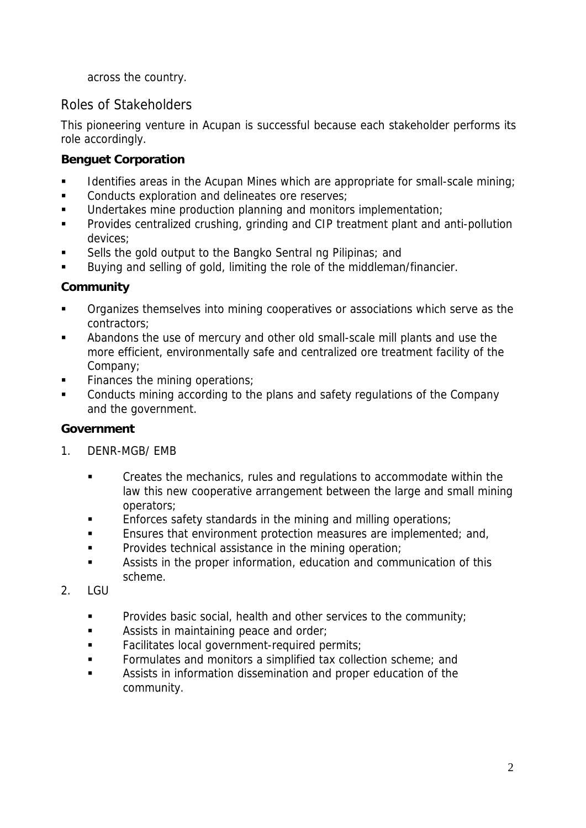across the country.

# Roles of Stakeholders

This pioneering venture in Acupan is successful because each stakeholder performs its role accordingly.

## **Benguet Corporation**

- Identifies areas in the Acupan Mines which are appropriate for small-scale mining;
- **Conducts exploration and delineates ore reserves;**
- Undertakes mine production planning and monitors implementation;
- **Provides centralized crushing, grinding and CIP treatment plant and anti-pollution** devices;
- Sells the gold output to the Bangko Sentral ng Pilipinas; and
- Buying and selling of gold, limiting the role of the middleman/financier.

## **Community**

- Organizes themselves into mining cooperatives or associations which serve as the contractors;
- Abandons the use of mercury and other old small-scale mill plants and use the more efficient, environmentally safe and centralized ore treatment facility of the Company;
- Finances the mining operations;
- Conducts mining according to the plans and safety regulations of the Company and the government.

## **Government**

- 1. DENR-MGB/ EMB
	- **EXECT** Creates the mechanics, rules and regulations to accommodate within the law this new cooperative arrangement between the large and small mining operators;
	- Enforces safety standards in the mining and milling operations;
	- **Ensures that environment protection measures are implemented; and,**
	- **Provides technical assistance in the mining operation;**
	- Assists in the proper information, education and communication of this scheme.
- $2.$  LGU
	- **Provides basic social, health and other services to the community;**
	- **Assists in maintaining peace and order:**
	- **Facilitates local government-required permits;**
	- **Formulates and monitors a simplified tax collection scheme; and**
	- Assists in information dissemination and proper education of the community.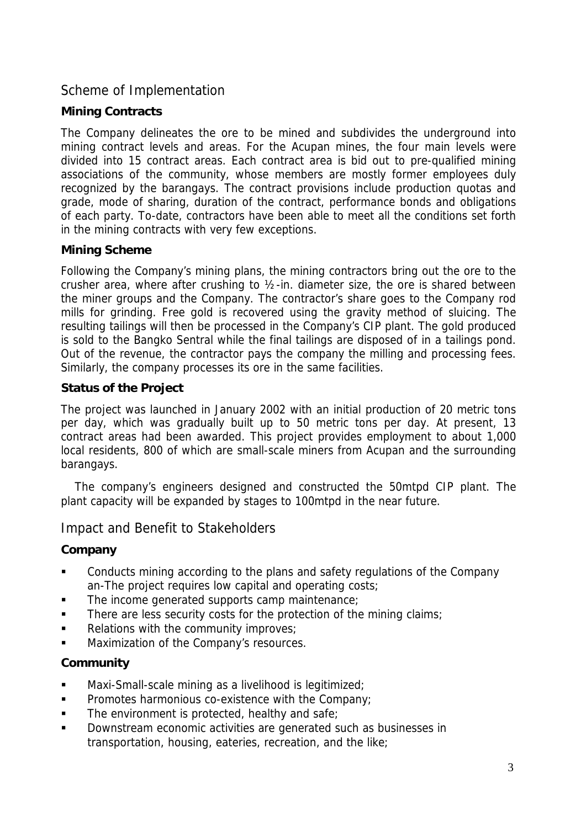## Scheme of Implementation

#### **Mining Contracts**

The Company delineates the ore to be mined and subdivides the underground into mining contract levels and areas. For the Acupan mines, the four main levels were divided into 15 contract areas. Each contract area is bid out to pre-qualified mining associations of the community, whose members are mostly former employees duly recognized by the barangays. The contract provisions include production quotas and grade, mode of sharing, duration of the contract, performance bonds and obligations of each party. To-date, contractors have been able to meet all the conditions set forth in the mining contracts with very few exceptions.

#### **Mining Scheme**

Following the Company's mining plans, the mining contractors bring out the ore to the crusher area, where after crushing to ½-in. diameter size, the ore is shared between the miner groups and the Company. The contractor's share goes to the Company rod mills for grinding. Free gold is recovered using the gravity method of sluicing. The resulting tailings will then be processed in the Company's CIP plant. The gold produced is sold to the Bangko Sentral while the final tailings are disposed of in a tailings pond. Out of the revenue, the contractor pays the company the milling and processing fees. Similarly, the company processes its ore in the same facilities.

#### **Status of the Project**

The project was launched in January 2002 with an initial production of 20 metric tons per day, which was gradually built up to 50 metric tons per day. At present, 13 contract areas had been awarded. This project provides employment to about 1,000 local residents, 800 of which are small-scale miners from Acupan and the surrounding barangays.

The company's engineers designed and constructed the 50mtpd CIP plant. The plant capacity will be expanded by stages to 100mtpd in the near future.

## Impact and Benefit to Stakeholders

## **Company**

- Conducts mining according to the plans and safety regulations of the Company an-The project requires low capital and operating costs;
- The income generated supports camp maintenance;
- There are less security costs for the protection of the mining claims;
- Relations with the community improves;
- Maximization of the Company's resources.

## **Community**

- Maxi-Small-scale mining as a livelihood is legitimized;
- **Promotes harmonious co-existence with the Company;**
- **The environment is protected, healthy and safe;**
- Downstream economic activities are generated such as businesses in transportation, housing, eateries, recreation, and the like;